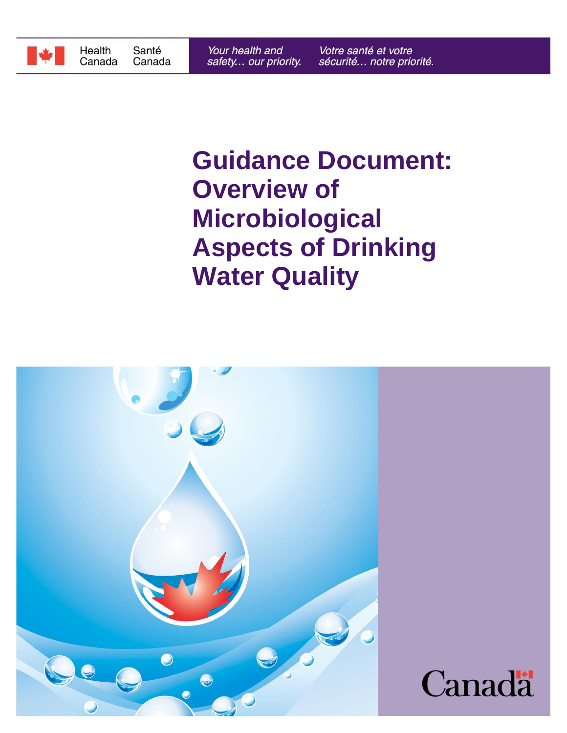

# **Water Quality Aspects of Drinking Microbiological Overview of Guidance Document:**

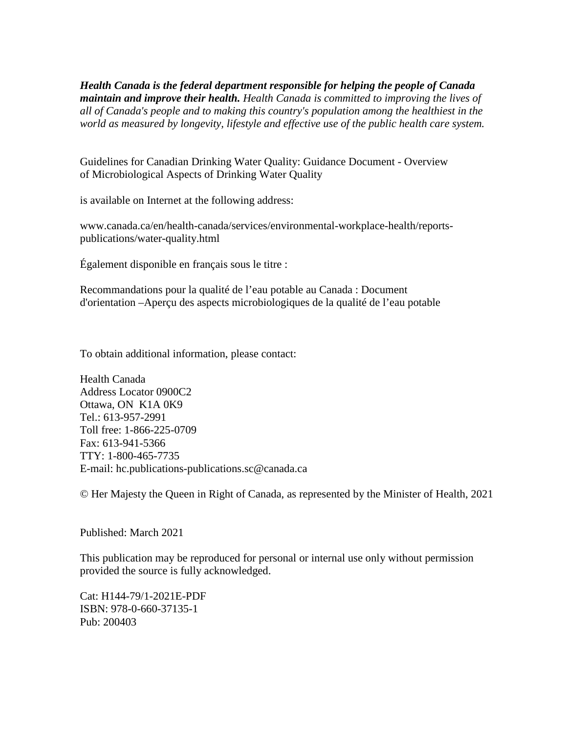*world as measured by longevity, lifestyle and effective use of the public health care system. all of Canada's people and to making this country's population among the healthiest in the maintain and improve their health. Health Canada is committed to improving the lives of Health Canada is the federal department responsible for helping the people of Canada*

of Microbiological Aspects of Drinking Water Quality Guidelines for Canadian Drinking Water Quality: Guidance Document - Overview

is available on Internet at the following address:

publications/water-quality.html www.canada.ca/en/health-canada/services/environmental-workplace-health/reports-

Également disponible en français sous le titre :

d'orientation –Aperçu des aspects microbiologiques de la qualité de l'eau potable Recommandations pour la qualité de l'eau potable au Canada : Document

To obtain additional information, please contact:

E-mail: hc.publications-publications.sc@canada.ca TTY: 1-800-465-7735 Fax: 613-941-5366 Toll free: 1-866-225-0709 Tel.: 613-957-2991 Ottawa, ON K1A 0K9 Address Locator 0900C2 Health Canada

© Her Majesty the Queen in Right of Canada, as represented by the Minister of Health, 2021

Published: March 2021

provided the source is fully acknowledged. This publication may be reproduced for personal or internal use only without permission

Cat: H144-79/1-2021E-PDF ISBN: 978-0-660-37135-1 Pub: 200403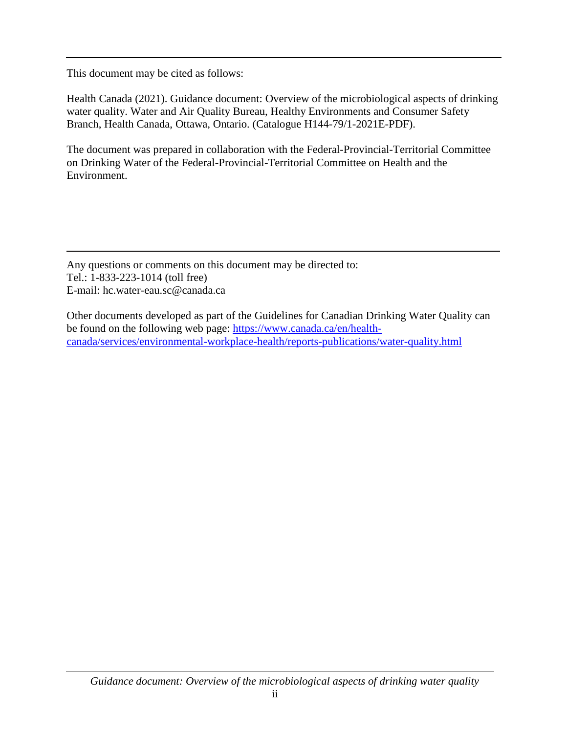This document may be cited as follows:

Health Canada (2021). Guidance document: Overview of the microbiological aspects of drinking water quality. Water and Air Quality Bureau, Healthy Environments and Consumer Safety Branch, Health Canada, Ottawa, Ontario. (Catalogue H144-79/1-2021E-PDF).

The document was prepared in collaboration with the Federal-Provincial-Territorial Committee on Drinking Water of the Federal-Provincial-Territorial Committee on Health and the Environment.

Any questions or comments on this document may be directed to: Tel.: 1-833-223-1014 (toll free) E-mail: hc.water-eau.sc@canada.ca

Other documents developed as part of the Guidelines for Canadian Drinking Water Quality can be found on the following web page: [https://www.canada.ca/en/health](https://www.canada.ca/en/health-canada/services/environmental-workplace-health/reports-publications/water-quality.html)[canada/services/environmental-workplace-health/reports-publications/water-quality.html](https://www.canada.ca/en/health-canada/services/environmental-workplace-health/reports-publications/water-quality.html)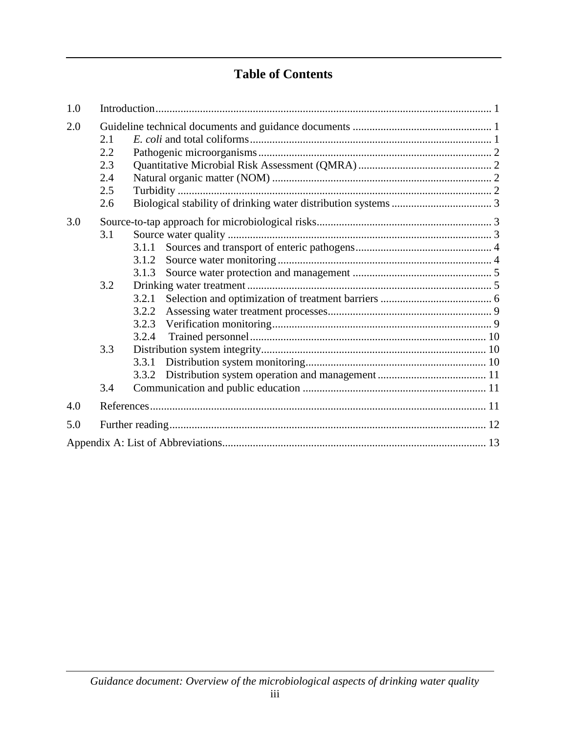# **Table of Contents**

| 1.0 |     |       |  |  |  |  |  |
|-----|-----|-------|--|--|--|--|--|
| 2.0 |     |       |  |  |  |  |  |
|     | 2.1 |       |  |  |  |  |  |
|     | 2.2 |       |  |  |  |  |  |
|     | 2.3 |       |  |  |  |  |  |
|     | 2.4 |       |  |  |  |  |  |
|     | 2.5 |       |  |  |  |  |  |
|     | 2.6 |       |  |  |  |  |  |
| 3.0 |     |       |  |  |  |  |  |
|     | 3.1 |       |  |  |  |  |  |
|     |     | 3.1.1 |  |  |  |  |  |
|     |     | 3.1.2 |  |  |  |  |  |
|     |     | 3.1.3 |  |  |  |  |  |
|     | 3.2 |       |  |  |  |  |  |
|     |     | 3.2.1 |  |  |  |  |  |
|     |     | 3.2.2 |  |  |  |  |  |
|     |     |       |  |  |  |  |  |
|     |     | 3.2.4 |  |  |  |  |  |
|     | 3.3 |       |  |  |  |  |  |
|     |     | 3.3.1 |  |  |  |  |  |
|     |     | 3.3.2 |  |  |  |  |  |
|     | 3.4 |       |  |  |  |  |  |
| 4.0 |     |       |  |  |  |  |  |
| 5.0 |     |       |  |  |  |  |  |
|     |     |       |  |  |  |  |  |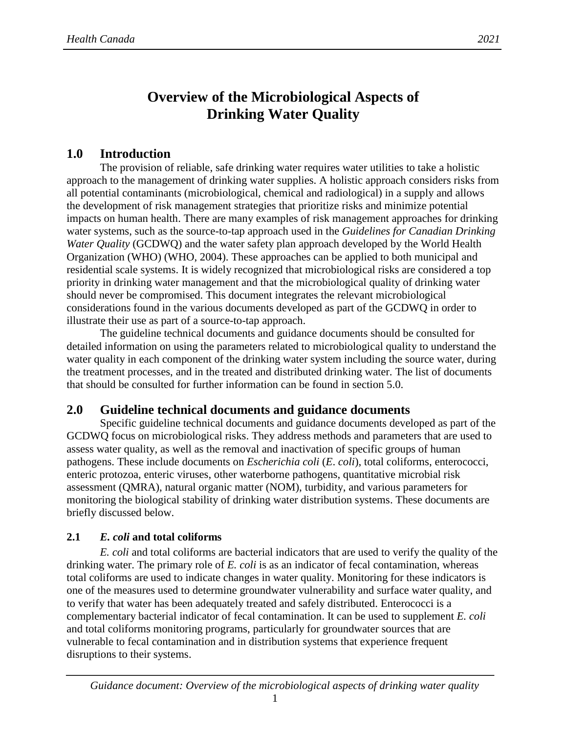# **Overview of the Microbiological Aspects of Drinking Water Quality**

## <span id="page-4-0"></span>**1.0 Introduction**

The provision of reliable, safe drinking water requires water utilities to take a holistic approach to the management of drinking water supplies. A holistic approach considers risks from all potential contaminants (microbiological, chemical and radiological) in a supply and allows the development of risk management strategies that prioritize risks and minimize potential impacts on human health. There are many examples of risk management approaches for drinking water systems, such as the source-to-tap approach used in the *Guidelines for Canadian Drinking Water Quality* (GCDWQ) and the water safety plan approach developed by the World Health Organization (WHO) (WHO, 2004). These approaches can be applied to both municipal and residential scale systems. It is widely recognized that microbiological risks are considered a top priority in drinking water management and that the microbiological quality of drinking water should never be compromised. This document integrates the relevant microbiological considerations found in the various documents developed as part of the GCDWQ in order to illustrate their use as part of a source-to-tap approach.

The guideline technical documents and guidance documents should be consulted for detailed information on using the parameters related to microbiological quality to understand the water quality in each component of the drinking water system including the source water, during the treatment processes, and in the treated and distributed drinking water. The list of documents that should be consulted for further information can be found in section  $5.0$ .

## <span id="page-4-1"></span>**2.0 Guideline technical documents and guidance documents**

Specific guideline technical documents and guidance documents developed as part of the GCDWQ focus on microbiological risks. They address methods and parameters that are used to assess water quality, as well as the removal and inactivation of specific groups of human pathogens. These include documents on *Escherichia coli* (*E*. *coli*), total coliforms, enterococci, enteric protozoa, enteric viruses, other waterborne pathogens, quantitative microbial risk assessment (QMRA), natural organic matter (NOM), turbidity, and various parameters for monitoring the biological stability of drinking water distribution systems. These documents are briefly discussed below.

## <span id="page-4-2"></span>**2.1** *E. coli* **and total coliforms**

*E. coli* and total coliforms are bacterial indicators that are used to verify the quality of the drinking water. The primary role of *E. coli* is as an indicator of fecal contamination, whereas total coliforms are used to indicate changes in water quality. Monitoring for these indicators is one of the measures used to determine groundwater vulnerability and surface water quality, and to verify that water has been adequately treated and safely distributed. Enterococci is a complementary bacterial indicator of fecal contamination. It can be used to supplement *E. coli*  and total coliforms monitoring programs, particularly for groundwater sources that are vulnerable to fecal contamination and in distribution systems that experience frequent disruptions to their systems.

1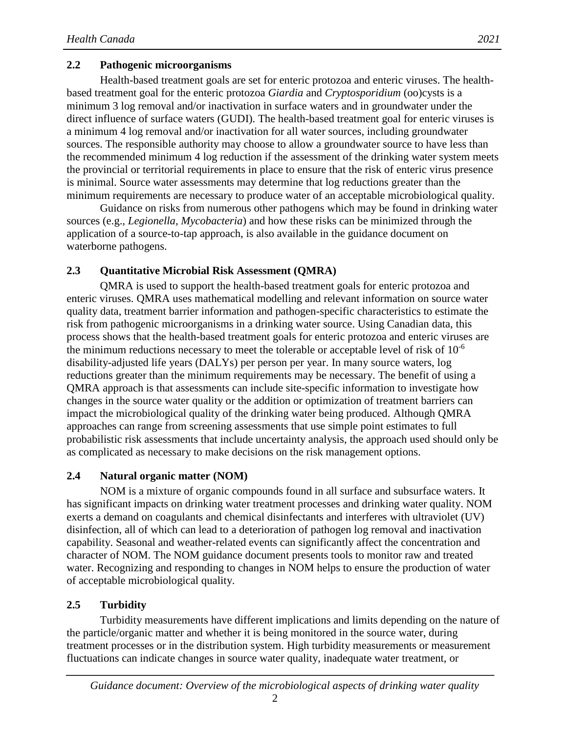## <span id="page-5-0"></span>**2.2 Pathogenic microorganisms**

Health-based treatment goals are set for enteric protozoa and enteric viruses. The healthbased treatment goal for the enteric protozoa *Giardia* and *Cryptosporidium* (oo)cysts is a minimum 3 log removal and/or inactivation in surface waters and in groundwater under the direct influence of surface waters (GUDI). The health-based treatment goal for enteric viruses is a minimum 4 log removal and/or inactivation for all water sources, including groundwater sources. The responsible authority may choose to allow a groundwater source to have less than the recommended minimum 4 log reduction if the assessment of the drinking water system meets the provincial or territorial requirements in place to ensure that the risk of enteric virus presence is minimal. Source water assessments may determine that log reductions greater than the minimum requirements are necessary to produce water of an acceptable microbiological quality.

Guidance on risks from numerous other pathogens which may be found in drinking water sources (e.g., *Legionella, Mycobacteria*) and how these risks can be minimized through the application of a source-to-tap approach, is also available in the guidance document on waterborne pathogens.

## <span id="page-5-1"></span>**2.3 Quantitative Microbial Risk Assessment (QMRA)**

QMRA is used to support the health-based treatment goals for enteric protozoa and enteric viruses. QMRA uses mathematical modelling and relevant information on source water quality data, treatment barrier information and pathogen-specific characteristics to estimate the risk from pathogenic microorganisms in a drinking water source. Using Canadian data, this process shows that the health-based treatment goals for enteric protozoa and enteric viruses are the minimum reductions necessary to meet the tolerable or acceptable level of risk of  $10^{-6}$ disability-adjusted life years (DALYs) per person per year. In many source waters, log reductions greater than the minimum requirements may be necessary. The benefit of using a QMRA approach is that assessments can include site-specific information to investigate how changes in the source water quality or the addition or optimization of treatment barriers can impact the microbiological quality of the drinking water being produced. Although QMRA approaches can range from screening assessments that use simple point estimates to full probabilistic risk assessments that include uncertainty analysis, the approach used should only be as complicated as necessary to make decisions on the risk management options.

## <span id="page-5-2"></span>**2.4 Natural organic matter (NOM)**

NOM is a mixture of organic compounds found in all surface and subsurface waters. It has significant impacts on drinking water treatment processes and drinking water quality. NOM exerts a demand on coagulants and chemical disinfectants and interferes with ultraviolet (UV) disinfection, all of which can lead to a deterioration of pathogen log removal and inactivation capability. Seasonal and weather-related events can significantly affect the concentration and character of NOM. The NOM guidance document presents tools to monitor raw and treated water. Recognizing and responding to changes in NOM helps to ensure the production of water of acceptable microbiological quality.

## <span id="page-5-3"></span>**2.5 Turbidity**

Turbidity measurements have different implications and limits depending on the nature of the particle/organic matter and whether it is being monitored in the source water, during treatment processes or in the distribution system. High turbidity measurements or measurement fluctuations can indicate changes in source water quality, inadequate water treatment, or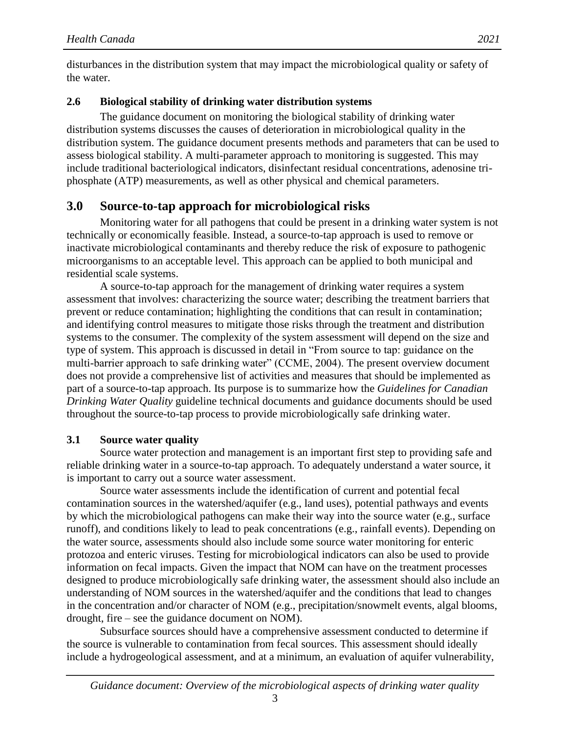disturbances in the distribution system that may impact the microbiological quality or safety of the water.

## <span id="page-6-0"></span>**2.6 Biological stability of drinking water distribution systems**

The guidance document on monitoring the biological stability of drinking water distribution systems discusses the causes of deterioration in microbiological quality in the distribution system. The guidance document presents methods and parameters that can be used to assess biological stability. A multi-parameter approach to monitoring is suggested. This may include traditional bacteriological indicators, disinfectant residual concentrations, adenosine triphosphate (ATP) measurements, as well as other physical and chemical parameters.

## <span id="page-6-1"></span>**3.0 Source-to-tap approach for microbiological risks**

Monitoring water for all pathogens that could be present in a drinking water system is not technically or economically feasible. Instead, a source-to-tap approach is used to remove or inactivate microbiological contaminants and thereby reduce the risk of exposure to pathogenic microorganisms to an acceptable level. This approach can be applied to both municipal and residential scale systems.

A source-to-tap approach for the management of drinking water requires a system assessment that involves: characterizing the source water; describing the treatment barriers that prevent or reduce contamination; highlighting the conditions that can result in contamination; and identifying control measures to mitigate those risks through the treatment and distribution systems to the consumer. The complexity of the system assessment will depend on the size and type of system. This approach is discussed in detail in "From source to tap: guidance on the multi-barrier approach to safe drinking water" (CCME, 2004). The present overview document does not provide a comprehensive list of activities and measures that should be implemented as part of a source-to-tap approach. Its purpose is to summarize how the *Guidelines for Canadian Drinking Water Quality* guideline technical documents and guidance documents should be used throughout the source-to-tap process to provide microbiologically safe drinking water.

## <span id="page-6-2"></span>**3.1 Source water quality**

Source water protection and management is an important first step to providing safe and reliable drinking water in a source-to-tap approach. To adequately understand a water source, it is important to carry out a source water assessment.

Source water assessments include the identification of current and potential fecal contamination sources in the watershed/aquifer (e.g., land uses), potential pathways and events by which the microbiological pathogens can make their way into the source water (e.g., surface runoff), and conditions likely to lead to peak concentrations (e.g., rainfall events). Depending on the water source, assessments should also include some source water monitoring for enteric protozoa and enteric viruses. Testing for microbiological indicators can also be used to provide information on fecal impacts. Given the impact that NOM can have on the treatment processes designed to produce microbiologically safe drinking water, the assessment should also include an understanding of NOM sources in the watershed/aquifer and the conditions that lead to changes in the concentration and/or character of NOM (e.g., precipitation/snowmelt events, algal blooms, drought, fire – see the guidance document on NOM).

Subsurface sources should have a comprehensive assessment conducted to determine if the source is vulnerable to contamination from fecal sources. This assessment should ideally include a hydrogeological assessment, and at a minimum, an evaluation of aquifer vulnerability,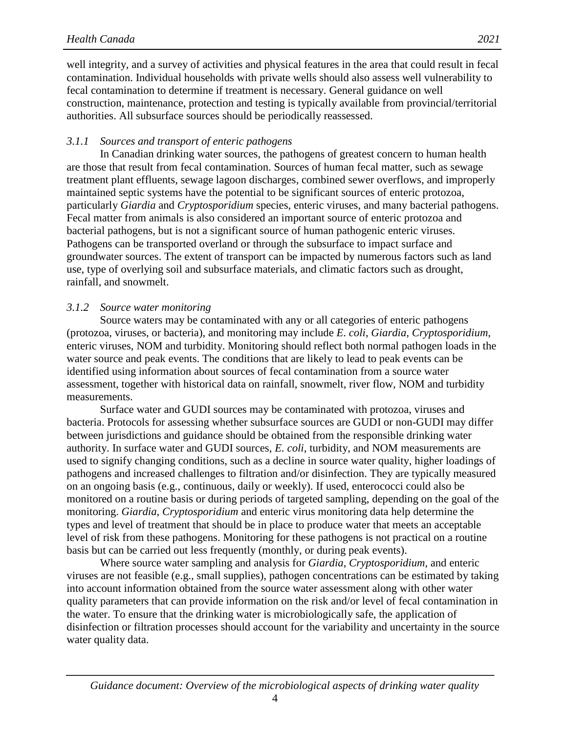well integrity, and a survey of activities and physical features in the area that could result in fecal contamination. Individual households with private wells should also assess well vulnerability to fecal contamination to determine if treatment is necessary. General guidance on well construction, maintenance, protection and testing is typically available from provincial/territorial authorities. All subsurface sources should be periodically reassessed.

#### <span id="page-7-0"></span>*3.1.1 Sources and transport of enteric pathogens*

In Canadian drinking water sources, the pathogens of greatest concern to human health are those that result from fecal contamination. Sources of human fecal matter, such as sewage treatment plant effluents, sewage lagoon discharges, combined sewer overflows, and improperly maintained septic systems have the potential to be significant sources of enteric protozoa, particularly *Giardia* and *Cryptosporidium* species, enteric viruses, and many bacterial pathogens. Fecal matter from animals is also considered an important source of enteric protozoa and bacterial pathogens, but is not a significant source of human pathogenic enteric viruses. Pathogens can be transported overland or through the subsurface to impact surface and groundwater sources. The extent of transport can be impacted by numerous factors such as land use, type of overlying soil and subsurface materials, and climatic factors such as drought, rainfall, and snowmelt.

#### <span id="page-7-1"></span>*3.1.2 Source water monitoring*

Source waters may be contaminated with any or all categories of enteric pathogens (protozoa, viruses, or bacteria), and monitoring may include *E*. *coli*, *Giardia, Cryptosporidium,* enteric viruses, NOM and turbidity. Monitoring should reflect both normal pathogen loads in the water source and peak events. The conditions that are likely to lead to peak events can be identified using information about sources of fecal contamination from a source water assessment, together with historical data on rainfall, snowmelt, river flow, NOM and turbidity measurements.

Surface water and GUDI sources may be contaminated with protozoa, viruses and bacteria. Protocols for assessing whether subsurface sources are GUDI or non-GUDI may differ between jurisdictions and guidance should be obtained from the responsible drinking water authority. In surface water and GUDI sources, *E. coli,* turbidity, and NOM measurements are used to signify changing conditions, such as a decline in source water quality, higher loadings of pathogens and increased challenges to filtration and/or disinfection. They are typically measured on an ongoing basis (e.g., continuous, daily or weekly). If used, enterococci could also be monitored on a routine basis or during periods of targeted sampling, depending on the goal of the monitoring. *Giardia*, *Cryptosporidium* and enteric virus monitoring data help determine the types and level of treatment that should be in place to produce water that meets an acceptable level of risk from these pathogens. Monitoring for these pathogens is not practical on a routine basis but can be carried out less frequently (monthly, or during peak events).

Where source water sampling and analysis for *Giardia*, *Cryptosporidium,* and enteric viruses are not feasible (e.g., small supplies), pathogen concentrations can be estimated by taking into account information obtained from the source water assessment along with other water quality parameters that can provide information on the risk and/or level of fecal contamination in the water. To ensure that the drinking water is microbiologically safe, the application of disinfection or filtration processes should account for the variability and uncertainty in the source water quality data.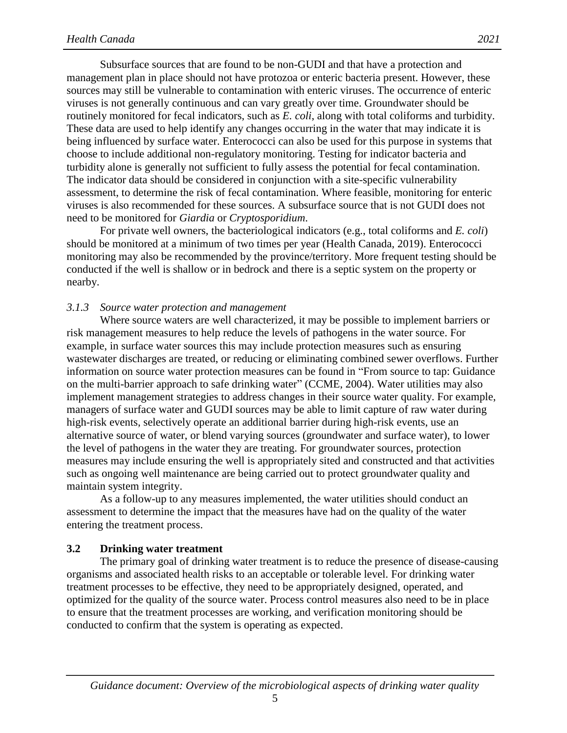Subsurface sources that are found to be non-GUDI and that have a protection and management plan in place should not have protozoa or enteric bacteria present. However, these sources may still be vulnerable to contamination with enteric viruses. The occurrence of enteric viruses is not generally continuous and can vary greatly over time. Groundwater should be routinely monitored for fecal indicators, such as *E. coli*, along with total coliforms and turbidity. These data are used to help identify any changes occurring in the water that may indicate it is being influenced by surface water. Enterococci can also be used for this purpose in systems that choose to include additional non-regulatory monitoring. Testing for indicator bacteria and turbidity alone is generally not sufficient to fully assess the potential for fecal contamination. The indicator data should be considered in conjunction with a site-specific vulnerability assessment, to determine the risk of fecal contamination. Where feasible, monitoring for enteric viruses is also recommended for these sources. A subsurface source that is not GUDI does not need to be monitored for *Giardia* or *Cryptosporidium*.

For private well owners, the bacteriological indicators (e.g., total coliforms and *E. coli*) should be monitored at a minimum of two times per year (Health Canada, 2019). Enterococci monitoring may also be recommended by the province/territory. More frequent testing should be conducted if the well is shallow or in bedrock and there is a septic system on the property or nearby.

#### <span id="page-8-0"></span>*3.1.3 Source water protection and management*

Where source waters are well characterized, it may be possible to implement barriers or risk management measures to help reduce the levels of pathogens in the water source. For example, in surface water sources this may include protection measures such as ensuring wastewater discharges are treated, or reducing or eliminating combined sewer overflows. Further information on source water protection measures can be found in "From source to tap: Guidance on the multi-barrier approach to safe drinking water" (CCME, 2004). Water utilities may also implement management strategies to address changes in their source water quality. For example, managers of surface water and GUDI sources may be able to limit capture of raw water during high-risk events, selectively operate an additional barrier during high-risk events, use an alternative source of water, or blend varying sources (groundwater and surface water), to lower the level of pathogens in the water they are treating. For groundwater sources, protection measures may include ensuring the well is appropriately sited and constructed and that activities such as ongoing well maintenance are being carried out to protect groundwater quality and maintain system integrity.

As a follow-up to any measures implemented, the water utilities should conduct an assessment to determine the impact that the measures have had on the quality of the water entering the treatment process.

#### <span id="page-8-1"></span>**3.2 Drinking water treatment**

The primary goal of drinking water treatment is to reduce the presence of disease-causing organisms and associated health risks to an acceptable or tolerable level. For drinking water treatment processes to be effective, they need to be appropriately designed, operated, and optimized for the quality of the source water. Process control measures also need to be in place to ensure that the treatment processes are working, and verification monitoring should be conducted to confirm that the system is operating as expected.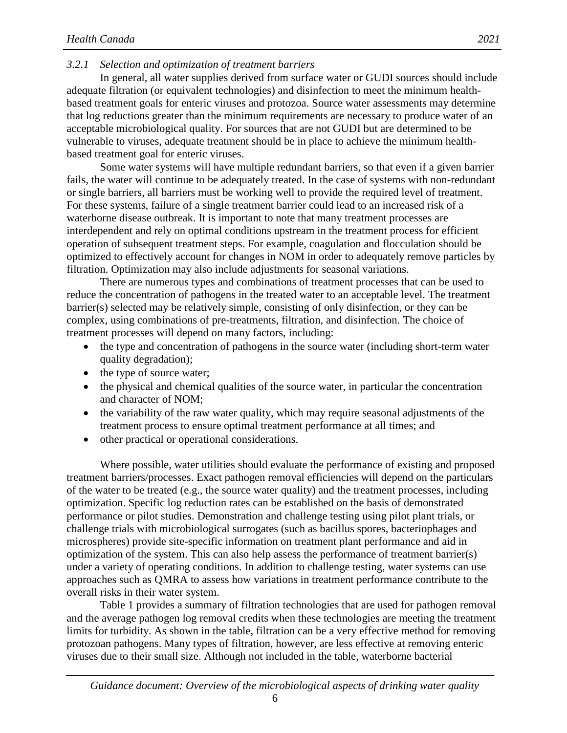#### <span id="page-9-0"></span>*3.2.1 Selection and optimization of treatment barriers*

In general, all water supplies derived from surface water or GUDI sources should include adequate filtration (or equivalent technologies) and disinfection to meet the minimum healthbased treatment goals for enteric viruses and protozoa. Source water assessments may determine that log reductions greater than the minimum requirements are necessary to produce water of an acceptable microbiological quality. For sources that are not GUDI but are determined to be vulnerable to viruses, adequate treatment should be in place to achieve the minimum healthbased treatment goal for enteric viruses.

Some water systems will have multiple redundant barriers, so that even if a given barrier fails, the water will continue to be adequately treated. In the case of systems with non-redundant or single barriers, all barriers must be working well to provide the required level of treatment. For these systems, failure of a single treatment barrier could lead to an increased risk of a waterborne disease outbreak. It is important to note that many treatment processes are interdependent and rely on optimal conditions upstream in the treatment process for efficient operation of subsequent treatment steps. For example, coagulation and flocculation should be optimized to effectively account for changes in NOM in order to adequately remove particles by filtration. Optimization may also include adjustments for seasonal variations.

There are numerous types and combinations of treatment processes that can be used to reduce the concentration of pathogens in the treated water to an acceptable level. The treatment barrier(s) selected may be relatively simple, consisting of only disinfection, or they can be complex, using combinations of pre-treatments, filtration, and disinfection. The choice of treatment processes will depend on many factors, including:

- the type and concentration of pathogens in the source water (including short-term water quality degradation);
- the type of source water;
- the physical and chemical qualities of the source water, in particular the concentration and character of NOM;
- the variability of the raw water quality, which may require seasonal adjustments of the treatment process to ensure optimal treatment performance at all times; and
- other practical or operational considerations.

Where possible, water utilities should evaluate the performance of existing and proposed treatment barriers/processes. Exact pathogen removal efficiencies will depend on the particulars of the water to be treated (e.g., the source water quality) and the treatment processes, including optimization. Specific log reduction rates can be established on the basis of demonstrated performance or pilot studies. Demonstration and challenge testing using pilot plant trials, or challenge trials with microbiological surrogates (such as bacillus spores, bacteriophages and microspheres) provide site-specific information on treatment plant performance and aid in optimization of the system. This can also help assess the performance of treatment barrier(s) under a variety of operating conditions. In addition to challenge testing, water systems can use approaches such as QMRA to assess how variations in treatment performance contribute to the overall risks in their water system.

Table 1 provides a summary of filtration technologies that are used for pathogen removal and the average pathogen log removal credits when these technologies are meeting the treatment limits for turbidity. As shown in the table, filtration can be a very effective method for removing protozoan pathogens. Many types of filtration, however, are less effective at removing enteric viruses due to their small size. Although not included in the table, waterborne bacterial

6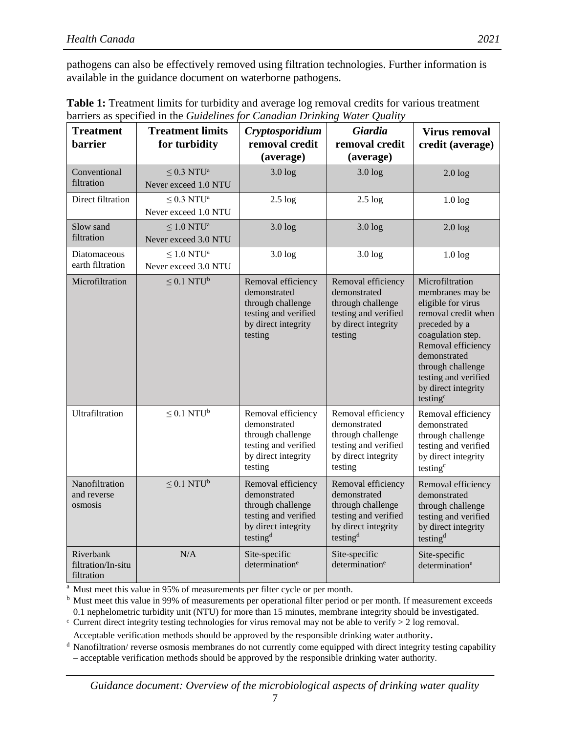pathogens can also be effectively removed using filtration technologies. Further information is available in the guidance document on waterborne pathogens.

| <b>Treatment</b><br><b>barrier</b>            | <b>Treatment limits</b><br>for turbidity            | Cryptosporidium<br>removal credit<br>(average)                                                                                 | <b>Giardia</b><br>removal credit<br>(average)                                                                                  | <b>Virus removal</b><br>credit (average)                                                                                                                                                                                                                 |
|-----------------------------------------------|-----------------------------------------------------|--------------------------------------------------------------------------------------------------------------------------------|--------------------------------------------------------------------------------------------------------------------------------|----------------------------------------------------------------------------------------------------------------------------------------------------------------------------------------------------------------------------------------------------------|
| Conventional<br>filtration                    | $\leq$ 0.3 NTU <sup>a</sup><br>Never exceed 1.0 NTU | $3.0$ $log$                                                                                                                    | $3.0 \log$                                                                                                                     | 2.0 log                                                                                                                                                                                                                                                  |
| Direct filtration                             | $\leq$ 0.3 NTU <sup>a</sup><br>Never exceed 1.0 NTU | $2.5 \log$                                                                                                                     | $2.5 \log$                                                                                                                     | $1.0 \log$                                                                                                                                                                                                                                               |
| Slow sand<br>filtration                       | $\leq 1.0$ NTU <sup>a</sup><br>Never exceed 3.0 NTU | $3.0$ $log$                                                                                                                    | $3.0$ $log$                                                                                                                    | 2.0 log                                                                                                                                                                                                                                                  |
| Diatomaceous<br>earth filtration              | $\leq$ 1.0 NTU <sup>a</sup><br>Never exceed 3.0 NTU | $3.0 \log$                                                                                                                     | $3.0$ $log$                                                                                                                    | $1.0 \log$                                                                                                                                                                                                                                               |
| Microfiltration                               | $\leq 0.1$ NTU <sup>b</sup>                         | Removal efficiency<br>demonstrated<br>through challenge<br>testing and verified<br>by direct integrity<br>testing              | Removal efficiency<br>demonstrated<br>through challenge<br>testing and verified<br>by direct integrity<br>testing              | Microfiltration<br>membranes may be<br>eligible for virus<br>removal credit when<br>preceded by a<br>coagulation step.<br>Removal efficiency<br>demonstrated<br>through challenge<br>testing and verified<br>by direct integrity<br>testing <sup>c</sup> |
| Ultrafiltration                               | $\leq 0.1$ NTU <sup>b</sup>                         | Removal efficiency<br>demonstrated<br>through challenge<br>testing and verified<br>by direct integrity<br>testing              | Removal efficiency<br>demonstrated<br>through challenge<br>testing and verified<br>by direct integrity<br>testing              | Removal efficiency<br>demonstrated<br>through challenge<br>testing and verified<br>by direct integrity<br>testing <sup>c</sup>                                                                                                                           |
| Nanofiltration<br>and reverse<br>osmosis      | $\leq 0.1$ NTU <sup>b</sup>                         | Removal efficiency<br>demonstrated<br>through challenge<br>testing and verified<br>by direct integrity<br>testing <sup>d</sup> | Removal efficiency<br>demonstrated<br>through challenge<br>testing and verified<br>by direct integrity<br>testing <sup>d</sup> | Removal efficiency<br>demonstrated<br>through challenge<br>testing and verified<br>by direct integrity<br>testing <sup>d</sup>                                                                                                                           |
| Riverbank<br>filtration/In-situ<br>filtration | N/A                                                 | Site-specific<br>determination <sup>e</sup>                                                                                    | Site-specific<br>determination <sup>e</sup>                                                                                    | Site-specific<br>determination <sup>e</sup>                                                                                                                                                                                                              |

**Table 1:** Treatment limits for turbidity and average log removal credits for various treatment barriers as specified in the *Guidelines for Canadian Drinking Water Quality*

<sup>a</sup> Must meet this value in 95% of measurements per filter cycle or per month.

b Must meet this value in 99% of measurements per operational filter period or per month. If measurement exceeds 0.1 nephelometric turbidity unit (NTU) for more than 15 minutes, membrane integrity should be investigated.

 $\epsilon$  Current direct integrity testing technologies for virus removal may not be able to verify  $> 2$  log removal. Acceptable verification methods should be approved by the responsible drinking water authority.

<sup>d</sup> Nanofiltration/ reverse osmosis membranes do not currently come equipped with direct integrity testing capability – acceptable verification methods should be approved by the responsible drinking water authority.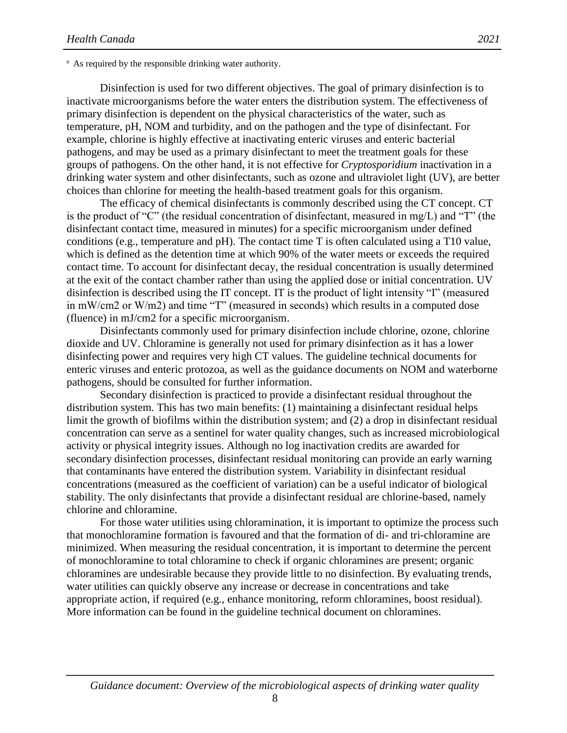<sup>e</sup> As required by the responsible drinking water authority.

Disinfection is used for two different objectives. The goal of primary disinfection is to inactivate microorganisms before the water enters the distribution system. The effectiveness of primary disinfection is dependent on the physical characteristics of the water, such as temperature, pH, NOM and turbidity, and on the pathogen and the type of disinfectant. For example, chlorine is highly effective at inactivating enteric viruses and enteric bacterial pathogens, and may be used as a primary disinfectant to meet the treatment goals for these groups of pathogens. On the other hand, it is not effective for *Cryptosporidium* inactivation in a drinking water system and other disinfectants, such as ozone and ultraviolet light (UV), are better choices than chlorine for meeting the health-based treatment goals for this organism.

The efficacy of chemical disinfectants is commonly described using the CT concept. CT is the product of "C" (the residual concentration of disinfectant, measured in mg/L) and "T" (the disinfectant contact time, measured in minutes) for a specific microorganism under defined conditions (e.g., temperature and pH). The contact time T is often calculated using a T10 value, which is defined as the detention time at which 90% of the water meets or exceeds the required contact time. To account for disinfectant decay, the residual concentration is usually determined at the exit of the contact chamber rather than using the applied dose or initial concentration. UV disinfection is described using the IT concept. IT is the product of light intensity "I" (measured in mW/cm2 or W/m2) and time "T" (measured in seconds) which results in a computed dose (fluence) in mJ/cm2 for a specific microorganism.

Disinfectants commonly used for primary disinfection include chlorine, ozone, chlorine dioxide and UV. Chloramine is generally not used for primary disinfection as it has a lower disinfecting power and requires very high CT values. The guideline technical documents for enteric viruses and enteric protozoa, as well as the guidance documents on NOM and waterborne pathogens, should be consulted for further information.

Secondary disinfection is practiced to provide a disinfectant residual throughout the distribution system. This has two main benefits: (1) maintaining a disinfectant residual helps limit the growth of biofilms within the distribution system; and (2) a drop in disinfectant residual concentration can serve as a sentinel for water quality changes, such as increased microbiological activity or physical integrity issues. Although no log inactivation credits are awarded for secondary disinfection processes, disinfectant residual monitoring can provide an early warning that contaminants have entered the distribution system. Variability in disinfectant residual concentrations (measured as the coefficient of variation) can be a useful indicator of biological stability. The only disinfectants that provide a disinfectant residual are chlorine-based, namely chlorine and chloramine.

For those water utilities using chloramination, it is important to optimize the process such that monochloramine formation is favoured and that the formation of di- and tri-chloramine are minimized. When measuring the residual concentration, it is important to determine the percent of monochloramine to total chloramine to check if organic chloramines are present; organic chloramines are undesirable because they provide little to no disinfection. By evaluating trends, water utilities can quickly observe any increase or decrease in concentrations and take appropriate action, if required (e.g., enhance monitoring, reform chloramines, boost residual). More information can be found in the guideline technical document on chloramines.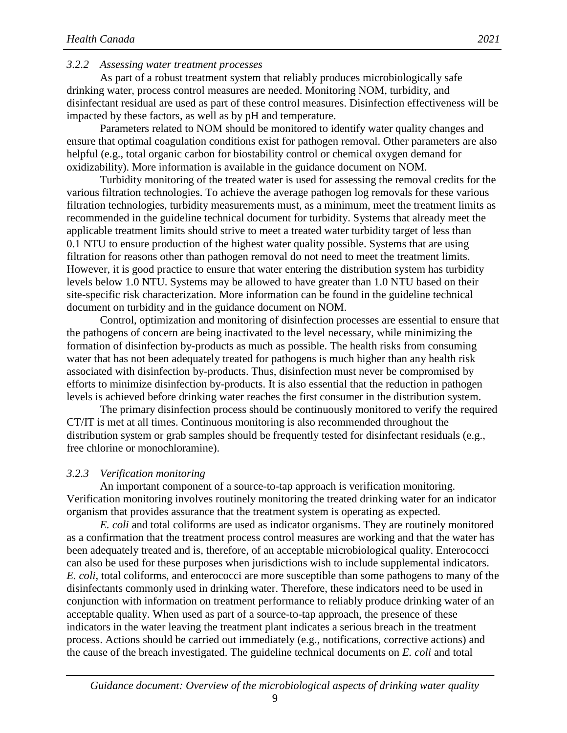#### <span id="page-12-0"></span>*3.2.2 Assessing water treatment processes*

As part of a robust treatment system that reliably produces microbiologically safe drinking water, process control measures are needed. Monitoring NOM, turbidity, and disinfectant residual are used as part of these control measures. Disinfection effectiveness will be impacted by these factors, as well as by pH and temperature.

Parameters related to NOM should be monitored to identify water quality changes and ensure that optimal coagulation conditions exist for pathogen removal. Other parameters are also helpful (e.g., total organic carbon for biostability control or chemical oxygen demand for oxidizability). More information is available in the guidance document on NOM.

Turbidity monitoring of the treated water is used for assessing the removal credits for the various filtration technologies. To achieve the average pathogen log removals for these various filtration technologies, turbidity measurements must, as a minimum, meet the treatment limits as recommended in the guideline technical document for turbidity. Systems that already meet the applicable treatment limits should strive to meet a treated water turbidity target of less than 0.1 NTU to ensure production of the highest water quality possible. Systems that are using filtration for reasons other than pathogen removal do not need to meet the treatment limits. However, it is good practice to ensure that water entering the distribution system has turbidity levels below 1.0 NTU. Systems may be allowed to have greater than 1.0 NTU based on their site-specific risk characterization. More information can be found in the guideline technical document on turbidity and in the guidance document on NOM.

Control, optimization and monitoring of disinfection processes are essential to ensure that the pathogens of concern are being inactivated to the level necessary, while minimizing the formation of disinfection by-products as much as possible. The health risks from consuming water that has not been adequately treated for pathogens is much higher than any health risk associated with disinfection by-products. Thus, disinfection must never be compromised by efforts to minimize disinfection by-products. It is also essential that the reduction in pathogen levels is achieved before drinking water reaches the first consumer in the distribution system.

The primary disinfection process should be continuously monitored to verify the required CT/IT is met at all times. Continuous monitoring is also recommended throughout the distribution system or grab samples should be frequently tested for disinfectant residuals (e.g., free chlorine or monochloramine).

#### <span id="page-12-1"></span>*3.2.3 Verification monitoring*

An important component of a source-to-tap approach is verification monitoring. Verification monitoring involves routinely monitoring the treated drinking water for an indicator organism that provides assurance that the treatment system is operating as expected.

*E. coli* and total coliforms are used as indicator organisms. They are routinely monitored as a confirmation that the treatment process control measures are working and that the water has been adequately treated and is, therefore, of an acceptable microbiological quality. Enterococci can also be used for these purposes when jurisdictions wish to include supplemental indicators. *E. coli*, total coliforms, and enterococci are more susceptible than some pathogens to many of the disinfectants commonly used in drinking water. Therefore, these indicators need to be used in conjunction with information on treatment performance to reliably produce drinking water of an acceptable quality. When used as part of a source-to-tap approach, the presence of these indicators in the water leaving the treatment plant indicates a serious breach in the treatment process. Actions should be carried out immediately (e.g., notifications, corrective actions) and the cause of the breach investigated. The guideline technical documents on *E. coli* and total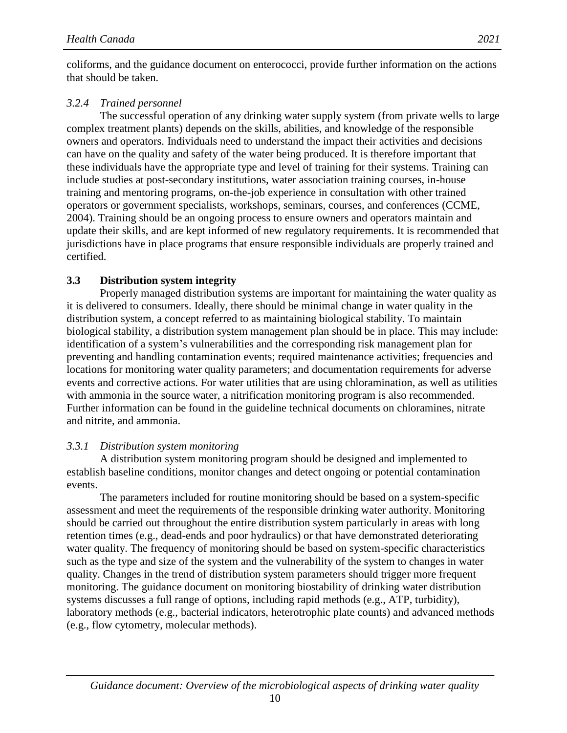coliforms, and the guidance document on enterococci, provide further information on the actions that should be taken.

#### <span id="page-13-0"></span>*3.2.4 Trained personnel*

The successful operation of any drinking water supply system (from private wells to large complex treatment plants) depends on the skills, abilities, and knowledge of the responsible owners and operators. Individuals need to understand the impact their activities and decisions can have on the quality and safety of the water being produced. It is therefore important that these individuals have the appropriate type and level of training for their systems. Training can include studies at post-secondary institutions, water association training courses, in-house training and mentoring programs, on-the-job experience in consultation with other trained operators or government specialists, workshops, seminars, courses, and conferences (CCME, 2004). Training should be an ongoing process to ensure owners and operators maintain and update their skills, and are kept informed of new regulatory requirements. It is recommended that jurisdictions have in place programs that ensure responsible individuals are properly trained and certified.

#### <span id="page-13-1"></span>**3.3 Distribution system integrity**

Properly managed distribution systems are important for maintaining the water quality as it is delivered to consumers. Ideally, there should be minimal change in water quality in the distribution system, a concept referred to as maintaining biological stability. To maintain biological stability, a distribution system management plan should be in place. This may include: identification of a system's vulnerabilities and the corresponding risk management plan for preventing and handling contamination events; required maintenance activities; frequencies and locations for monitoring water quality parameters; and documentation requirements for adverse events and corrective actions. For water utilities that are using chloramination, as well as utilities with ammonia in the source water, a nitrification monitoring program is also recommended. Further information can be found in the guideline technical documents on chloramines, nitrate and nitrite, and ammonia.

#### <span id="page-13-2"></span>*3.3.1 Distribution system monitoring*

A distribution system monitoring program should be designed and implemented to establish baseline conditions, monitor changes and detect ongoing or potential contamination events.

The parameters included for routine monitoring should be based on a system-specific assessment and meet the requirements of the responsible drinking water authority. Monitoring should be carried out throughout the entire distribution system particularly in areas with long retention times (e.g., dead-ends and poor hydraulics) or that have demonstrated deteriorating water quality. The frequency of monitoring should be based on system-specific characteristics such as the type and size of the system and the vulnerability of the system to changes in water quality. Changes in the trend of distribution system parameters should trigger more frequent monitoring. The guidance document on monitoring biostability of drinking water distribution systems discusses a full range of options, including rapid methods (e.g., ATP, turbidity), laboratory methods (e.g., bacterial indicators, heterotrophic plate counts) and advanced methods (e.g., flow cytometry, molecular methods).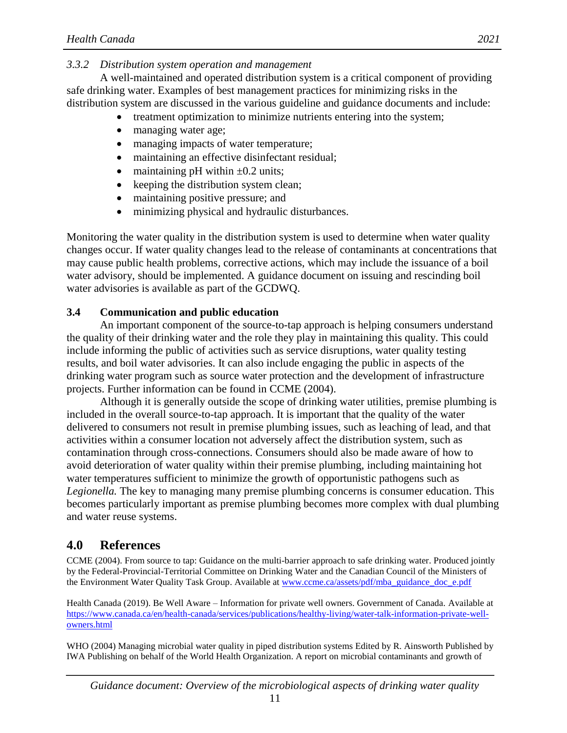## <span id="page-14-0"></span>*3.3.2 Distribution system operation and management*

A well-maintained and operated distribution system is a critical component of providing safe drinking water. Examples of best management practices for minimizing risks in the distribution system are discussed in the various guideline and guidance documents and include:

- treatment optimization to minimize nutrients entering into the system;
- managing water age;
- managing impacts of water temperature;
- maintaining an effective disinfectant residual;
- maintaining pH within  $\pm 0.2$  units;
- keeping the distribution system clean;
- maintaining positive pressure; and
- minimizing physical and hydraulic disturbances.

Monitoring the water quality in the distribution system is used to determine when water quality changes occur. If water quality changes lead to the release of contaminants at concentrations that may cause public health problems, corrective actions, which may include the issuance of a boil water advisory, should be implemented. A guidance document on issuing and rescinding boil water advisories is available as part of the GCDWQ.

## <span id="page-14-1"></span>**3.4 Communication and public education**

An important component of the source-to-tap approach is helping consumers understand the quality of their drinking water and the role they play in maintaining this quality. This could include informing the public of activities such as service disruptions, water quality testing results, and boil water advisories. It can also include engaging the public in aspects of the drinking water program such as source water protection and the development of infrastructure projects. Further information can be found in CCME (2004).

Although it is generally outside the scope of drinking water utilities, premise plumbing is included in the overall source-to-tap approach. It is important that the quality of the water delivered to consumers not result in premise plumbing issues, such as leaching of lead, and that activities within a consumer location not adversely affect the distribution system, such as contamination through cross-connections. Consumers should also be made aware of how to avoid deterioration of water quality within their premise plumbing, including maintaining hot water temperatures sufficient to minimize the growth of opportunistic pathogens such as *Legionella.* The key to managing many premise plumbing concerns is consumer education. This becomes particularly important as premise plumbing becomes more complex with dual plumbing and water reuse systems.

## <span id="page-14-2"></span>**4.0 References**

CCME (2004). From source to tap: Guidance on the multi-barrier approach to safe drinking water. Produced jointly by the Federal-Provincial-Territorial Committee on Drinking Water and the Canadian Council of the Ministers of the Environment Water Quality Task Group. Available at [www.ccme.ca/assets/pdf/mba\\_guidance\\_doc\\_e.pdf](http://www.ccme.ca/assets/pdf/mba_guidance_doc_e.pdf)

Health Canada (2019). Be Well Aware – Information for private well owners. Government of Canada. Available at [https://www.canada.ca/en/health-canada/services/publications/healthy-living/water-talk-information-private-well](https://www.canada.ca/en/health-canada/services/publications/healthy-living/water-talk-information-private-well-owners.html)[owners.html](https://www.canada.ca/en/health-canada/services/publications/healthy-living/water-talk-information-private-well-owners.html)

WHO (2004) Managing microbial water quality in piped distribution systems Edited by R. Ainsworth Published by IWA Publishing on behalf of the World Health Organization. A report on microbial contaminants and growth of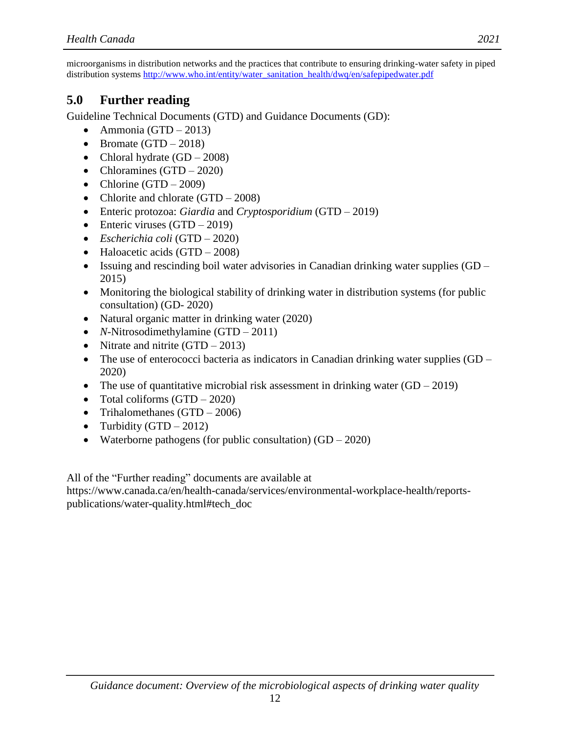microorganisms in distribution networks and the practices that contribute to ensuring drinking-water safety in piped distribution systems [http://www.who.int/entity/water\\_sanitation\\_health/dwq/en/safepipedwater.pdf](http://www.who.int/entity/water_sanitation_health/dwq/en/safepipedwater.pdf)

## <span id="page-15-0"></span>**5.0 Further reading**

Guideline Technical Documents (GTD) and Guidance Documents (GD):

- Ammonia (GTD 2013)
- Bromate  $(GTD 2018)$
- Chloral hydrate  $(GD 2008)$
- Chloramines  $(GTD 2020)$
- Chlorine  $(GTD 2009)$
- Chlorite and chlorate  $(GTD 2008)$
- Enteric protozoa: *Giardia* and *Cryptosporidium* (GTD 2019)
- $\bullet$  Enteric viruses (GTD 2019)
- *Escherichia coli* (GTD 2020)
- $\bullet$  Haloacetic acids (GTD 2008)
- Issuing and rescinding boil water advisories in Canadian drinking water supplies  $(GD -$ 2015)
- Monitoring the biological stability of drinking water in distribution systems (for public consultation) (GD- 2020)
- Natural organic matter in drinking water (2020)
- *N*-Nitrosodimethylamine (GTD 2011)
- Nitrate and nitrite  $(GTD 2013)$
- The use of enterococci bacteria as indicators in Canadian drinking water supplies (GD 2020)
- The use of quantitative microbial risk assessment in drinking water  $(GD 2019)$
- Total coliforms  $(GTD 2020)$
- Trihalomethanes  $(GTD 2006)$
- Turbidity  $(GTD 2012)$
- Waterborne pathogens (for public consultation)  $(GD 2020)$

All of the "Further reading" documents are available at

https://www.canada.ca/en/health-canada/services/environmental-workplace-health/reportspublications/water-quality.html#tech\_doc